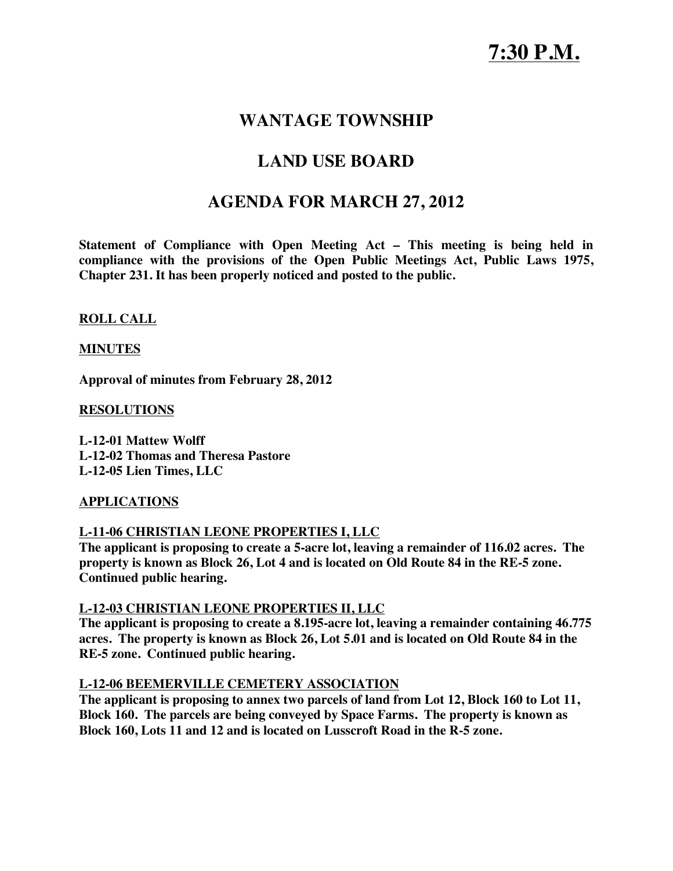## **WANTAGE TOWNSHIP**

# **LAND USE BOARD**

## **AGENDA FOR MARCH 27, 2012**

**Statement of Compliance with Open Meeting Act – This meeting is being held in compliance with the provisions of the Open Public Meetings Act, Public Laws 1975, Chapter 231. It has been properly noticed and posted to the public.**

**ROLL CALL**

### **MINUTES**

**Approval of minutes from February 28, 2012**

**RESOLUTIONS**

**L-12-01 Mattew Wolff L-12-02 Thomas and Theresa Pastore L-12-05 Lien Times, LLC**

### **APPLICATIONS**

### **L-11-06 CHRISTIAN LEONE PROPERTIES I, LLC**

**The applicant is proposing to create a 5-acre lot, leaving a remainder of 116.02 acres. The property is known as Block 26, Lot 4 and is located on Old Route 84 in the RE-5 zone. Continued public hearing.**

#### **L-12-03 CHRISTIAN LEONE PROPERTIES II, LLC**

**The applicant is proposing to create a 8.195-acre lot, leaving a remainder containing 46.775 acres. The property is known as Block 26, Lot 5.01 and is located on Old Route 84 in the RE-5 zone. Continued public hearing.**

### **L-12-06 BEEMERVILLE CEMETERY ASSOCIATION**

**The applicant is proposing to annex two parcels of land from Lot 12, Block 160 to Lot 11, Block 160. The parcels are being conveyed by Space Farms. The property is known as Block 160, Lots 11 and 12 and is located on Lusscroft Road in the R-5 zone.**